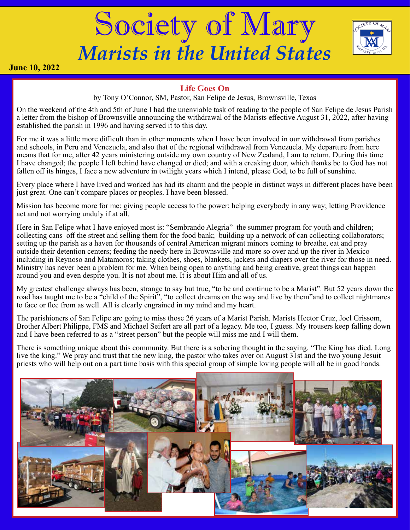# Society of Mary *Marists in the United States*



**June 10, 2022**

### **Life Goes On**

by Tony O'Connor, SM, Pastor, San Felipe de Jesus, Brownsville, Texas

On the weekend of the 4th and 5th of June I had the unenviable task of reading to the people of San Felipe de Jesus Parish a letter from the bishop of Brownsville announcing the withdrawal of the Marists effective August 31, 2022, after having established the parish in 1996 and having served it to this day.

For me it was a little more difficult than in other moments when I have been involved in our withdrawal from parishes and schools, in Peru and Venezuela, and also that of the regional withdrawal from Venezuela. My departure from here means that for me, after 42 years ministering outside my own country of New Zealand, I am to return. During this time I have changed; the people I left behind have changed or died; and with a creaking door, which thanks be to God has not fallen off its hinges, I face a new adventure in twilight years which I intend, please God, to be full of sunshine.

Every place where I have lived and worked has had its charm and the people in distinct ways in different places have been just great. One can't compare places or peoples. I have been blessed.

Mission has become more for me: giving people access to the power; helping everybody in any way; letting Providence act and not worrying unduly if at all.

Here in San Felipe what I have enjoyed most is: "Sembrando Alegria" the summer program for youth and children; collecting cans off the street and selling them for the food bank; building up a network of can collecting collaborators; setting up the parish as a haven for thousands of central American migrant minors coming to breathe, eat and pray outside their detention centers; feeding the needy here in Brownsville and more so over and up the river in Mexico including in Reynoso and Matamoros; taking clothes, shoes, blankets, jackets and diapers over the river for those in need. Ministry has never been a problem for me. When being open to anything and being creative, great things can happen around you and even despite you. It is not about me. It is about Him and all of us.

My greatest challenge always has been, strange to say but true, "to be and continue to be a Marist". But 52 years down the road has taught me to be a "child of the Spirit", "to collect dreams on the way and live by them"and to collect nightmares to face or flee from as well. All is clearly engrained in my mind and my heart.

The parishioners of San Felipe are going to miss those 26 years of a Marist Parish. Marists Hector Cruz, Joel Grissom, Brother Albert Philippe, FMS and Michael Seifert are all part of a legacy. Me too, I guess. My trousers keep falling down and I have been referred to as a "street person" but the people will miss me and I will them.

There is something unique about this community. But there is a sobering thought in the saying. "The King has died. Long live the king." We pray and trust that the new king, the pastor who takes over on August 31st and the two young Jesuit priests who will help out on a part time basis with this special group of simple loving people will all be in good hands.

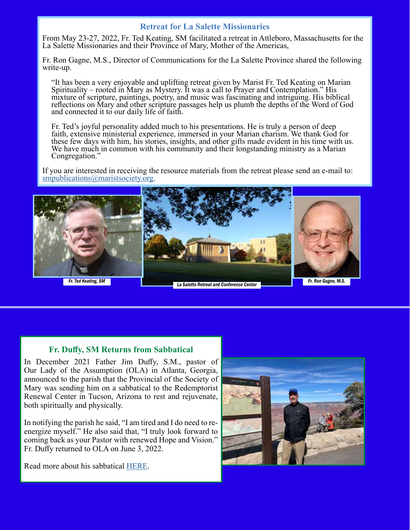#### **Retreat for La Salette Missionaries**

From May 23-27, 2022, Fr. Ted Keating, SM facilitated a retreat in Attleboro, Massachusetts for the La Salette Missionaries and their Province of Mary, Mother of the Americas,

Fr. Ron Gagne, M.S., Director of Communications for the La Salette Province shared the following write-up.

"It has been a very enjoyable and uplifting retreat given by Marist Fr. Ted Keating on Marian Spirituality – rooted in Mary as Mystery. It was a call to Prayer and Contemplation." His mixture of scripture, paintings, poetry, and music was fascinating and intriguing. His biblical reflections on Mary and other scripture passages help us plumb the depths of the Word of God and connected it to our daily life of faith.

Fr. Ted's joyful personality added much to his presentations. He is truly a person of deep faith, extensive ministerial experience, immersed in your Marian charism. We thank God for these few days with him, his stories, insights, and other gifts made evident in his time with us. We have much in common with his community and their longstanding ministry as a Marian Congregation."

If you are interested in receiving the resource materials from the retreat please send an e-mail to: [smpublications@maristsociety.org.](mailto:smpublications%40maristsociety.org.%20?subject=)



#### **Fr. Duffy, SM Returns from Sabbatical**

In December 2021 Father Jim Duffy, S.M., pastor of Our Lady of the Assumption (OLA) in Atlanta, Georgia, announced to the parish that the Provincial of the Society of Mary was sending him on a sabbatical to the Redemptorist Renewal Center in Tucson, Arizona to rest and rejuvenate, both spiritually and physically.

In notifying the parish he said, "I am tired and I do need to reenergize myself." He also said that, "I truly look forward to coming back as your Pastor with renewed Hope and Vision." Fr. Duffy returned to OLA on June 3, 2022.



Read more about his sabbatical [HERE](https://www.olachurch.org/post/father-jim-is-returning-home).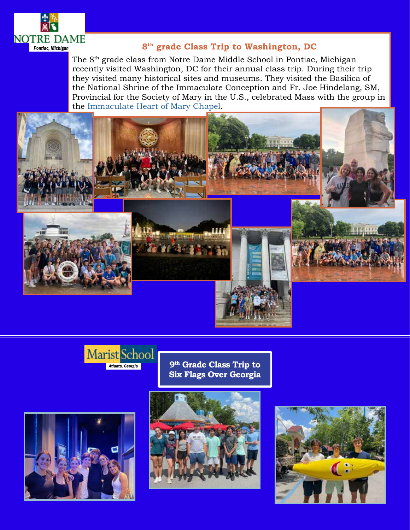

## **8th grade Class Trip to Washington, DC**

The 8<sup>th</sup> grade class from Notre Dame Middle School in Pontiac, Michigan recently visited Washington, DC for their annual class trip. During their trip they visited many historical sites and museums. They visited the Basilica of the National Shrine of the Immaculate Conception and Fr. Joe Hindelang, SM, Provincial for the Society of Mary in the U.S., celebrated Mass with the group in the [Immaculate Heart of Mary Chapel](https://www.nationalshrine.org/interactive-map/?location=im-42).





**9th Grade Class Trip to Six Flags Over Georgia**